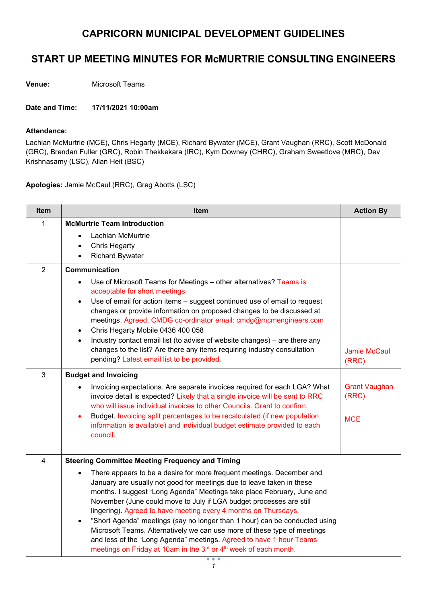## CAPRICORN MUNICIPAL DEVELOPMENT GUIDELINES

## START UP MEETING MINUTES FOR McMURTRIE CONSULTING ENGINEERS

Venue: Microsoft Teams

Date and Time: 17/11/2021 10:00am

## Attendance:

Lachlan McMurtrie (MCE), Chris Hegarty (MCE), Richard Bywater (MCE), Grant Vaughan (RRC), Scott McDonald (GRC), Brendan Fuller (GRC), Robin Thekkekara (IRC), Kym Downey (CHRC), Graham Sweetlove (MRC), Dev Krishnasamy (LSC), Allan Heit (BSC)

Apologies: Jamie McCaul (RRC), Greg Abotts (LSC)

| Item                    | Item                                                                                                                                                                                                                                                                                                                                                                                                                                                                                                                                                                                                                                                                                                                                                                   | <b>Action By</b>                            |
|-------------------------|------------------------------------------------------------------------------------------------------------------------------------------------------------------------------------------------------------------------------------------------------------------------------------------------------------------------------------------------------------------------------------------------------------------------------------------------------------------------------------------------------------------------------------------------------------------------------------------------------------------------------------------------------------------------------------------------------------------------------------------------------------------------|---------------------------------------------|
| 1                       | <b>McMurtrie Team Introduction</b><br>Lachlan McMurtrie<br><b>Chris Hegarty</b><br><b>Richard Bywater</b>                                                                                                                                                                                                                                                                                                                                                                                                                                                                                                                                                                                                                                                              |                                             |
| $\overline{2}$          | Communication<br>Use of Microsoft Teams for Meetings - other alternatives? Teams is<br>acceptable for short meetings.<br>Use of email for action items - suggest continued use of email to request<br>$\bullet$<br>changes or provide information on proposed changes to be discussed at<br>meetings. Agreed. CMDG co-ordinator email: cmdg@mcmengineers.com<br>Chris Hegarty Mobile 0436 400 058<br>$\bullet$<br>Industry contact email list (to advise of website changes) - are there any<br>$\bullet$<br>changes to the list? Are there any items requiring industry consultation<br>pending? Latest email list to be provided.                                                                                                                                    | <b>Jamie McCaul</b><br>(RRC)                |
| 3                       | <b>Budget and Invoicing</b><br>Invoicing expectations. Are separate invoices required for each LGA? What<br>invoice detail is expected? Likely that a single invoice will be sent to RRC<br>who will issue individual invoices to other Councils. Grant to confirm.<br>Budget. Invoicing split percentages to be recalculated (if new population<br>information is available) and individual budget estimate provided to each<br>council.                                                                                                                                                                                                                                                                                                                              | <b>Grant Vaughan</b><br>(RRC)<br><b>MCE</b> |
| $\overline{\mathbf{4}}$ | <b>Steering Committee Meeting Frequency and Timing</b><br>There appears to be a desire for more frequent meetings. December and<br>January are usually not good for meetings due to leave taken in these<br>months. I suggest "Long Agenda" Meetings take place February, June and<br>November (June could move to July if LGA budget processes are still<br>lingering). Agreed to have meeting every 4 months on Thursdays.<br>"Short Agenda" meetings (say no longer than 1 hour) can be conducted using<br>$\bullet$<br>Microsoft Teams. Alternatively we can use more of these type of meetings<br>and less of the "Long Agenda" meetings. Agreed to have 1 hour Teams<br>meetings on Friday at 10am in the 3 <sup>rd</sup> or 4 <sup>th</sup> week of each month. |                                             |